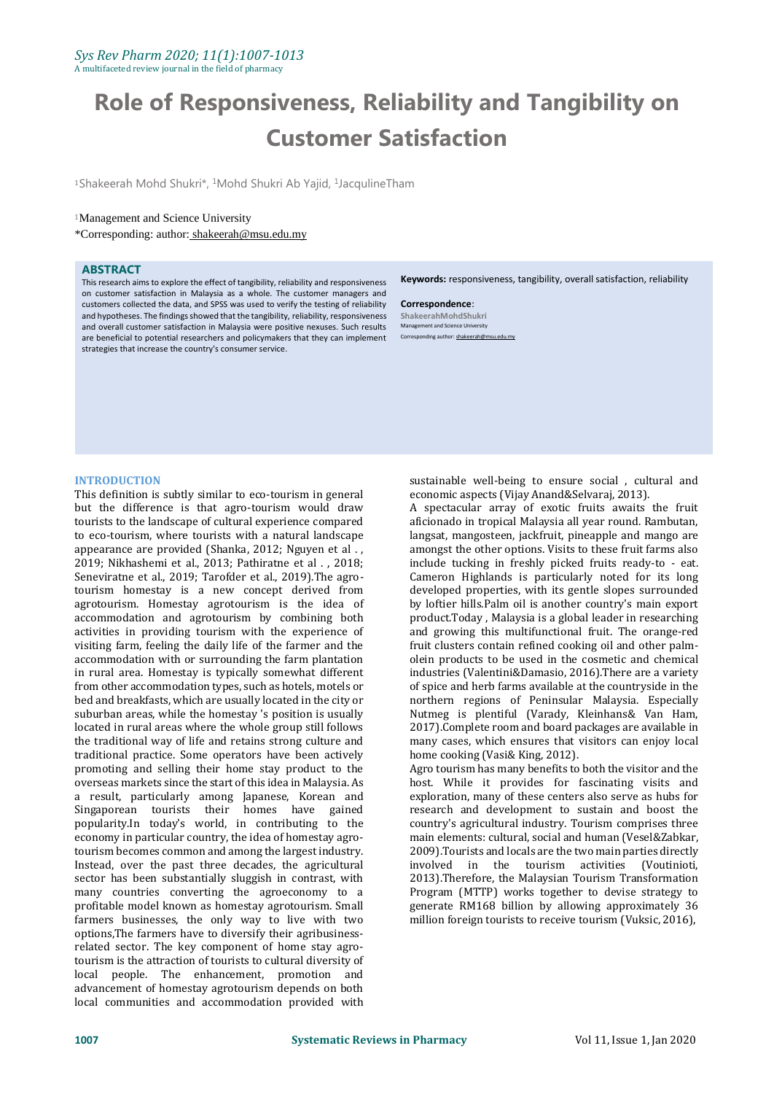# **Role of Responsiveness, Reliability and Tangibility on Customer Satisfaction**

<sup>1</sup>Shakeerah Mohd Shukri\*, <sup>1</sup>Mohd Shukri Ab Yajid, <sup>1</sup>JacqulineTham

# <sup>1</sup>Management and Science University

\*Corresponding: author: shakeerah@msu.edu.my

## **ABSTRACT**

This research aims to explore the effect of tangibility, reliability and responsiveness on customer satisfaction in Malaysia as a whole. The customer managers and customers collected the data, and SPSS was used to verify the testing of reliability and hypotheses. The findings showed that the tangibility, reliability, responsiveness and overall customer satisfaction in Malaysia were positive nexuses. Such results are beneficial to potential researchers and policymakers that they can implement strategies that increase the country's consumer service.

**Keywords:** responsiveness, tangibility, overall satisfaction, reliability

**Correspondence**: **ShakeerahMohdShukri** Management and Science University Corresponding author: shakeerah@n

# **INTRODUCTION**

This definition is subtly similar to eco-tourism in general but the difference is that agro-tourism would draw tourists to the landscape of cultural experience compared to eco-tourism, where tourists with a natural landscape appearance are provided (Shanka, 2012; Nguyen et al . , 2019; Nikhashemi et al., 2013; Pathiratne et al . , 2018; Seneviratne et al., 2019; Tarofder et al., 2019).The agrotourism homestay is a new concept derived from agrotourism. Homestay agrotourism is the idea of accommodation and agrotourism by combining both activities in providing tourism with the experience of visiting farm, feeling the daily life of the farmer and the accommodation with or surrounding the farm plantation in rural area. Homestay is typically somewhat different from other accommodation types, such as hotels, motels or bed and breakfasts, which are usually located in the city or suburban areas, while the homestay 's position is usually located in rural areas where the whole group still follows the traditional way of life and retains strong culture and traditional practice. Some operators have been actively promoting and selling their home stay product to the overseas markets since the start of this idea in Malaysia. As a result, particularly among Japanese, Korean and Singaporean tourists their homes have gained popularity.In today's world, in contributing to the economy in particular country, the idea of homestay agrotourism becomes common and among the largest industry. Instead, over the past three decades, the agricultural sector has been substantially sluggish in contrast, with many countries converting the agroeconomy to a profitable model known as homestay agrotourism. Small farmers businesses, the only way to live with two options,The farmers have to diversify their agribusinessrelated sector. The key component of home stay agrotourism is the attraction of tourists to cultural diversity of local people. The enhancement, promotion and advancement of homestay agrotourism depends on both local communities and accommodation provided with

sustainable well-being to ensure social , cultural and economic aspects (Vijay Anand&Selvaraj, 2013).

A spectacular array of exotic fruits awaits the fruit aficionado in tropical Malaysia all year round. Rambutan, langsat, mangosteen, jackfruit, pineapple and mango are amongst the other options. Visits to these fruit farms also include tucking in freshly picked fruits ready-to - eat. Cameron Highlands is particularly noted for its long developed properties, with its gentle slopes surrounded by loftier hills.Palm oil is another country's main export product.Today , Malaysia is a global leader in researching and growing this multifunctional fruit. The orange-red fruit clusters contain refined cooking oil and other palmolein products to be used in the cosmetic and chemical industries (Valentini&Damasio, 2016).There are a variety of spice and herb farms available at the countryside in the northern regions of Peninsular Malaysia. Especially Nutmeg is plentiful (Varady, Kleinhans& Van Ham, 2017).Complete room and board packages are available in many cases, which ensures that visitors can enjoy local home cooking (Vasi& King, 2012).

Agro tourism has many benefits to both the visitor and the host. While it provides for fascinating visits and exploration, many of these centers also serve as hubs for research and development to sustain and boost the country's agricultural industry. Tourism comprises three main elements: cultural, social and human (Vesel&Zabkar, 2009).Tourists and locals are the two main parties directly involved in the tourism activities (Voutinioti, 2013).Therefore, the Malaysian Tourism Transformation Program (MTTP) works together to devise strategy to generate RM168 billion by allowing approximately 36 million foreign tourists to receive tourism (Vuksic, 2016),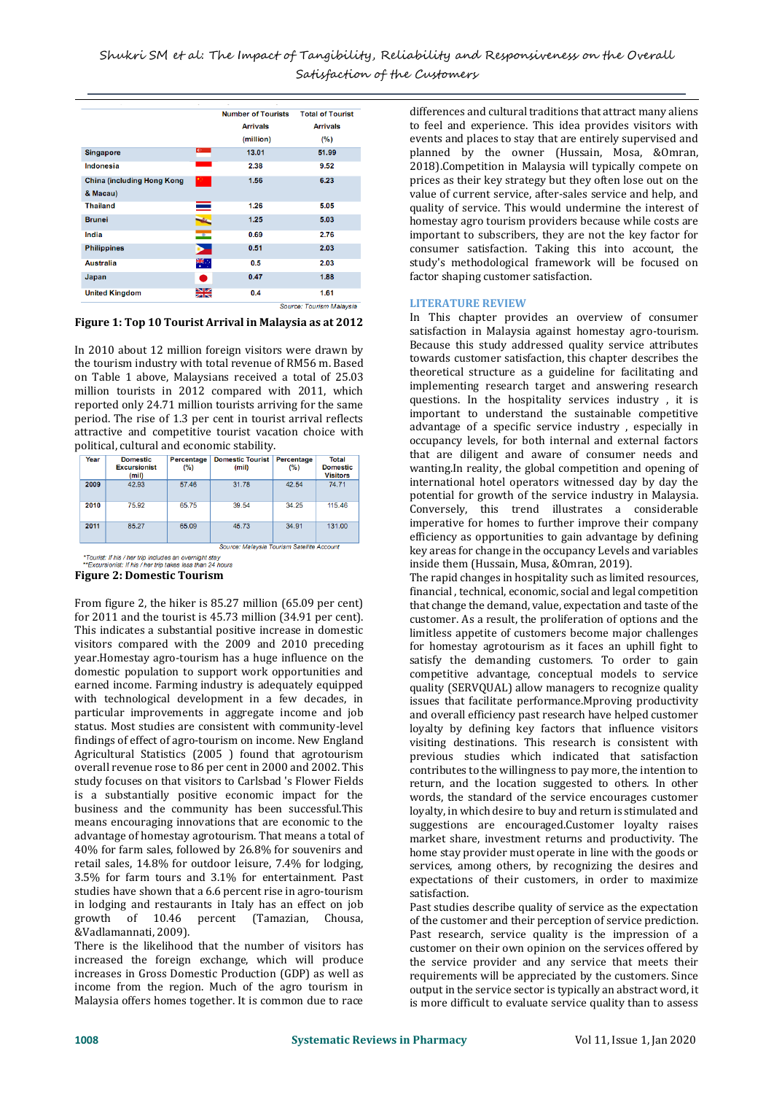| <b>Arrivals</b><br>(million)<br>13.01<br>2.38<br>1.56<br>1.26<br>1.25 | <b>Arrivals</b><br>(%)<br>51.99<br>9.52<br>6.23<br>5.05 |
|-----------------------------------------------------------------------|---------------------------------------------------------|
|                                                                       |                                                         |
|                                                                       |                                                         |
|                                                                       |                                                         |
|                                                                       |                                                         |
|                                                                       |                                                         |
|                                                                       |                                                         |
|                                                                       |                                                         |
|                                                                       | 5.03                                                    |
| 0.69                                                                  | 2.76                                                    |
| 0.51                                                                  | 2.03                                                    |
| 0.5                                                                   | 2.03                                                    |
| 0.47                                                                  | 1.88                                                    |
|                                                                       | 1.61                                                    |
|                                                                       | 0.4                                                     |

**Figure 1: Top 10 Tourist Arrival in Malaysia as at 2012**

In 2010 about 12 million foreign visitors were drawn by the tourism industry with total revenue of RM56 m. Based on Table 1 above, Malaysians received a total of 25.03 million tourists in 2012 compared with 2011, which reported only 24.71 million tourists arriving for the same period. The rise of 1.3 per cent in tourist arrival reflects attractive and competitive tourist vacation choice with political, cultural and economic stability.

| Year                                       | <b>Domestic</b><br><b>Excursionist</b><br>(mil) | <b>Percentage</b><br>(%) | <b>Domestic Tourist</b><br>(mil) | <b>Percentage</b><br>(%) | <b>Total</b><br><b>Domestic</b><br><b>Visitors</b> |  |  |
|--------------------------------------------|-------------------------------------------------|--------------------------|----------------------------------|--------------------------|----------------------------------------------------|--|--|
| 2009                                       | 42.93                                           | 57.46                    | 31.78                            | 42.54                    | 74.71                                              |  |  |
| 2010                                       | 75.92                                           | 65.75                    | 39.54                            | 34.25                    | 115.46                                             |  |  |
| 2011                                       | 85.27                                           | 65.09                    | 45.73                            | 34.91                    | 131.00                                             |  |  |
| Source: Malaysia Tourism Satellite Account |                                                 |                          |                                  |                          |                                                    |  |  |

\*Tourist: If his / her trip includes an overnight stay<br>\*\*Excursionist: If his / her trip takes less than 24 hours

**Figure 2: Domestic Tourism**

From figure 2, the hiker is 85.27 million (65.09 per cent) for 2011 and the tourist is 45.73 million (34.91 per cent). This indicates a substantial positive increase in domestic visitors compared with the 2009 and 2010 preceding year.Homestay agro-tourism has a huge influence on the domestic population to support work opportunities and earned income. Farming industry is adequately equipped with technological development in a few decades, in particular improvements in aggregate income and job status. Most studies are consistent with community-level findings of effect of agro-tourism on income. New England Agricultural Statistics (2005 ) found that agrotourism overall revenue rose to 86 per cent in 2000 and 2002. This study focuses on that visitors to Carlsbad 's Flower Fields is a substantially positive economic impact for the business and the community has been successful.This means encouraging innovations that are economic to the advantage of homestay agrotourism. That means a total of 40% for farm sales, followed by 26.8% for souvenirs and retail sales, 14.8% for outdoor leisure, 7.4% for lodging, 3.5% for farm tours and 3.1% for entertainment. Past studies have shown that a 6.6 percent rise in agro-tourism in lodging and restaurants in Italy has an effect on job growth of 10.46 percent (Tamazian, Chousa, &Vadlamannati, 2009).

There is the likelihood that the number of visitors has increased the foreign exchange, which will produce increases in Gross Domestic Production (GDP) as well as income from the region. Much of the agro tourism in Malaysia offers homes together. It is common due to race

differences and cultural traditions that attract many aliens to feel and experience. This idea provides visitors with events and places to stay that are entirely supervised and planned by the owner (Hussain, Mosa, &Omran, 2018).Competition in Malaysia will typically compete on prices as their key strategy but they often lose out on the value of current service, after-sales service and help, and quality of service. This would undermine the interest of homestay agro tourism providers because while costs are important to subscribers, they are not the key factor for consumer satisfaction. Taking this into account, the study's methodological framework will be focused on factor shaping customer satisfaction.

## **LITERATURE REVIEW**

In This chapter provides an overview of consumer satisfaction in Malaysia against homestay agro-tourism. Because this study addressed quality service attributes towards customer satisfaction, this chapter describes the theoretical structure as a guideline for facilitating and implementing research target and answering research questions. In the hospitality services industry , it is important to understand the sustainable competitive advantage of a specific service industry , especially in occupancy levels, for both internal and external factors that are diligent and aware of consumer needs and wanting.In reality, the global competition and opening of international hotel operators witnessed day by day the potential for growth of the service industry in Malaysia. Conversely, this trend illustrates a considerable imperative for homes to further improve their company efficiency as opportunities to gain advantage by defining key areas for change in the occupancy Levels and variables inside them (Hussain, Musa, &Omran, 2019).

The rapid changes in hospitality such as limited resources, financial , technical, economic, social and legal competition that change the demand, value, expectation and taste of the customer. As a result, the proliferation of options and the limitless appetite of customers become major challenges for homestay agrotourism as it faces an uphill fight to satisfy the demanding customers. To order to gain competitive advantage, conceptual models to service quality (SERVQUAL) allow managers to recognize quality issues that facilitate performance.Mproving productivity and overall efficiency past research have helped customer loyalty by defining key factors that influence visitors visiting destinations. This research is consistent with previous studies which indicated that satisfaction contributes to the willingness to pay more, the intention to return, and the location suggested to others. In other words, the standard of the service encourages customer loyalty, in which desire to buy and return is stimulated and suggestions are encouraged.Customer loyalty raises market share, investment returns and productivity. The home stay provider must operate in line with the goods or services, among others, by recognizing the desires and expectations of their customers, in order to maximize satisfaction.

Past studies describe quality of service as the expectation of the customer and their perception of service prediction. Past research, service quality is the impression of a customer on their own opinion on the services offered by the service provider and any service that meets their requirements will be appreciated by the customers. Since output in the service sector is typically an abstract word, it is more difficult to evaluate service quality than to assess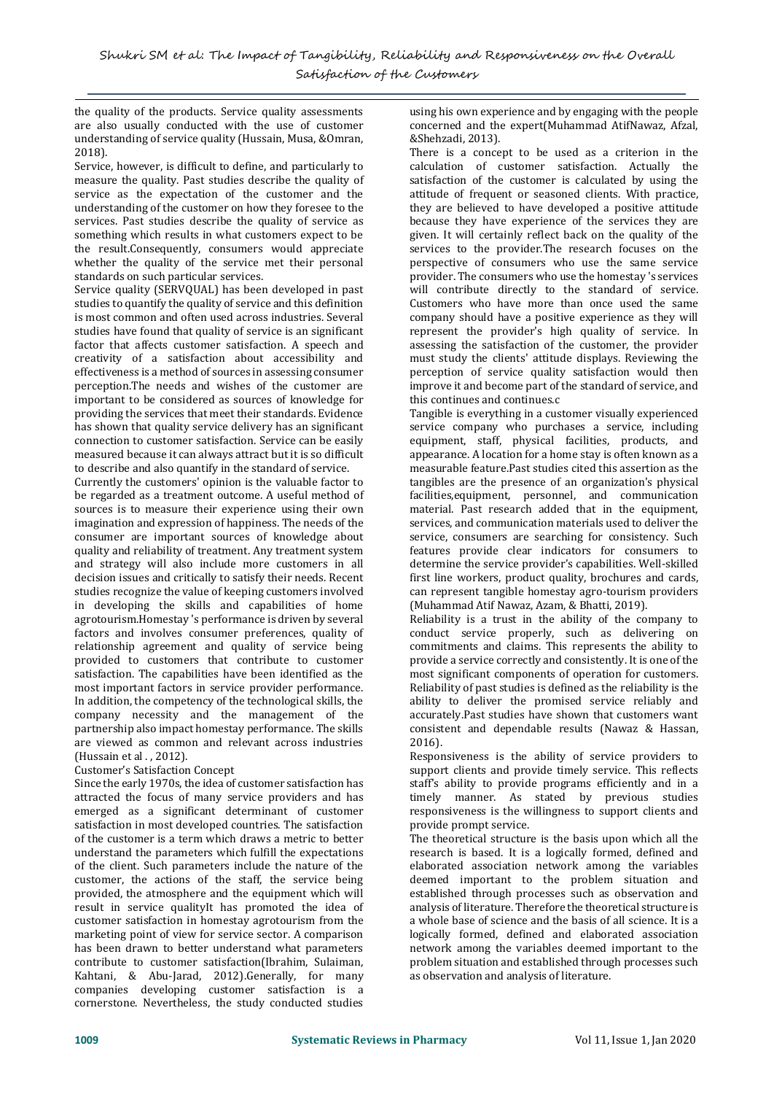the quality of the products. Service quality assessments are also usually conducted with the use of customer understanding of service quality (Hussain, Musa, &Omran, 2018).

Service, however, is difficult to define, and particularly to measure the quality. Past studies describe the quality of service as the expectation of the customer and the understanding of the customer on how they foresee to the services. Past studies describe the quality of service as something which results in what customers expect to be the result.Consequently, consumers would appreciate whether the quality of the service met their personal standards on such particular services.

Service quality (SERVQUAL) has been developed in past studies to quantify the quality of service and this definition is most common and often used across industries. Several studies have found that quality of service is an significant factor that affects customer satisfaction. A speech and creativity of a satisfaction about accessibility and effectiveness is a method of sources in assessing consumer perception.The needs and wishes of the customer are important to be considered as sources of knowledge for providing the services that meet their standards. Evidence has shown that quality service delivery has an significant connection to customer satisfaction. Service can be easily measured because it can always attract but it is so difficult to describe and also quantify in the standard of service.

Currently the customers' opinion is the valuable factor to be regarded as a treatment outcome. A useful method of sources is to measure their experience using their own imagination and expression of happiness. The needs of the consumer are important sources of knowledge about quality and reliability of treatment. Any treatment system and strategy will also include more customers in all decision issues and critically to satisfy their needs. Recent studies recognize the value of keeping customers involved in developing the skills and capabilities of home agrotourism.Homestay 's performance is driven by several factors and involves consumer preferences, quality of relationship agreement and quality of service being provided to customers that contribute to customer satisfaction. The capabilities have been identified as the most important factors in service provider performance. In addition, the competency of the technological skills, the company necessity and the management of the partnership also impact homestay performance. The skills are viewed as common and relevant across industries (Hussain et al., 2012).

## Customer's Satisfaction Concept

Since the early 1970s, the idea of customer satisfaction has attracted the focus of many service providers and has emerged as a significant determinant of customer satisfaction in most developed countries. The satisfaction of the customer is a term which draws a metric to better understand the parameters which fulfill the expectations of the client. Such parameters include the nature of the customer, the actions of the staff, the service being provided, the atmosphere and the equipment which will result in service qualityIt has promoted the idea of customer satisfaction in homestay agrotourism from the marketing point of view for service sector. A comparison has been drawn to better understand what parameters contribute to customer satisfaction(Ibrahim, Sulaiman, Kahtani, & Abu-Jarad, 2012).Generally, for many companies developing customer satisfaction is a cornerstone. Nevertheless, the study conducted studies using his own experience and by engaging with the people concerned and the expert(Muhammad AtifNawaz, Afzal, &Shehzadi, 2013).

There is a concept to be used as a criterion in the calculation of customer satisfaction. Actually the satisfaction of the customer is calculated by using the attitude of frequent or seasoned clients. With practice, they are believed to have developed a positive attitude because they have experience of the services they are given. It will certainly reflect back on the quality of the services to the provider.The research focuses on the perspective of consumers who use the same service provider. The consumers who use the homestay 's services will contribute directly to the standard of service. Customers who have more than once used the same company should have a positive experience as they will represent the provider's high quality of service. In assessing the satisfaction of the customer, the provider must study the clients' attitude displays. Reviewing the perception of service quality satisfaction would then improve it and become part of the standard of service, and this continues and continues.c

Tangible is everything in a customer visually experienced service company who purchases a service, including equipment, staff, physical facilities, products, and appearance. A location for a home stay is often known as a measurable feature.Past studies cited this assertion as the tangibles are the presence of an organization's physical facilities,equipment, personnel, and communication material. Past research added that in the equipment, services, and communication materials used to deliver the service, consumers are searching for consistency. Such features provide clear indicators for consumers to determine the service provider's capabilities. Well-skilled first line workers, product quality, brochures and cards, can represent tangible homestay agro-tourism providers (Muhammad Atif Nawaz, Azam, & Bhatti, 2019).

Reliability is a trust in the ability of the company to conduct service properly, such as delivering on commitments and claims. This represents the ability to provide a service correctly and consistently. It is one of the most significant components of operation for customers. Reliability of past studies is defined as the reliability is the ability to deliver the promised service reliably and accurately.Past studies have shown that customers want consistent and dependable results (Nawaz & Hassan, 2016).

Responsiveness is the ability of service providers to support clients and provide timely service. This reflects staff's ability to provide programs efficiently and in a timely manner. As stated by previous studies responsiveness is the willingness to support clients and provide prompt service.

The theoretical structure is the basis upon which all the research is based. It is a logically formed, defined and elaborated association network among the variables deemed important to the problem situation and established through processes such as observation and analysis of literature. Therefore the theoretical structure is a whole base of science and the basis of all science. It is a logically formed, defined and elaborated association network among the variables deemed important to the problem situation and established through processes such as observation and analysis of literature.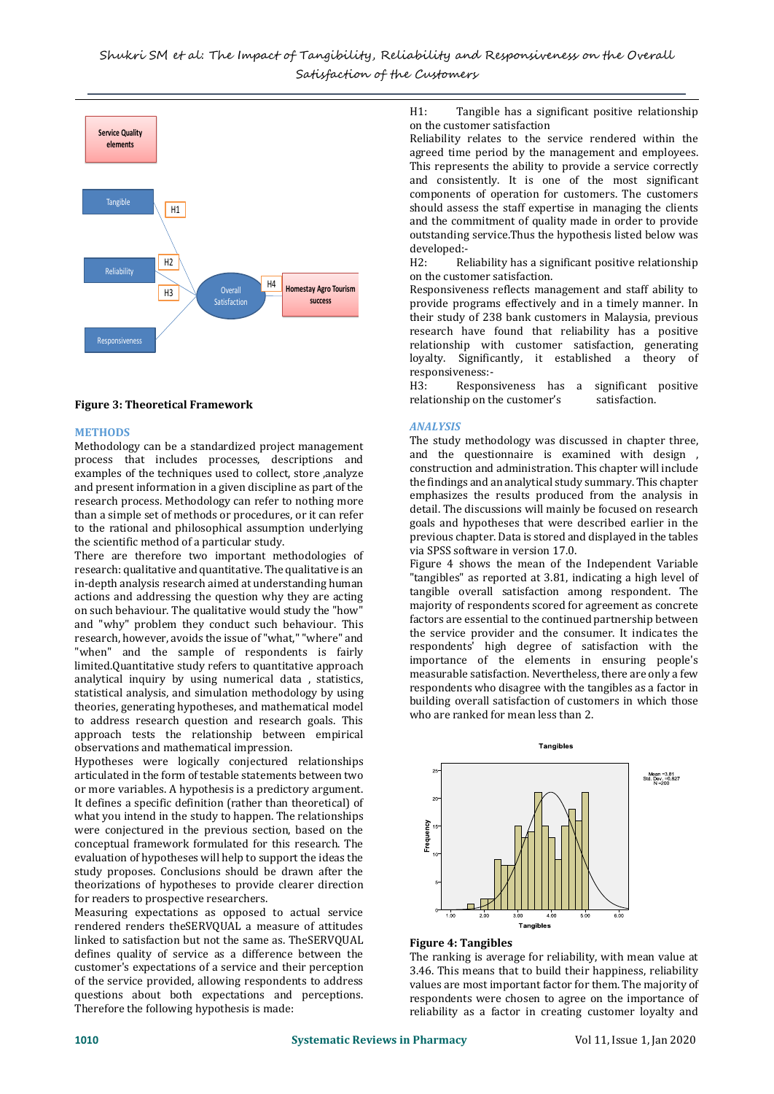

## **Figure 3: Theoretical Framework**

#### **METHODS**

Methodology can be a standardized project management process that includes processes, descriptions and examples of the techniques used to collect, store ,analyze and present information in a given discipline as part of the research process. Methodology can refer to nothing more than a simple set of methods or procedures, or it can refer to the rational and philosophical assumption underlying the scientific method of a particular study.

There are therefore two important methodologies of research: qualitative and quantitative. The qualitative is an in-depth analysis research aimed at understanding human actions and addressing the question why they are acting on such behaviour. The qualitative would study the "how" and "why" problem they conduct such behaviour. This research, however, avoids the issue of "what," "where" and "when" and the sample of respondents is fairly limited.Quantitative study refers to quantitative approach analytical inquiry by using numerical data , statistics, statistical analysis, and simulation methodology by using theories, generating hypotheses, and mathematical model to address research question and research goals. This approach tests the relationship between empirical observations and mathematical impression.

Hypotheses were logically conjectured relationships articulated in the form of testable statements between two or more variables. A hypothesis is a predictory argument. It defines a specific definition (rather than theoretical) of what you intend in the study to happen. The relationships were conjectured in the previous section, based on the conceptual framework formulated for this research. The evaluation of hypotheses will help to support the ideas the study proposes. Conclusions should be drawn after the theorizations of hypotheses to provide clearer direction for readers to prospective researchers.

Measuring expectations as opposed to actual service rendered renders theSERVQUAL a measure of attitudes linked to satisfaction but not the same as. TheSERVQUAL defines quality of service as a difference between the customer's expectations of a service and their perception of the service provided, allowing respondents to address questions about both expectations and perceptions. Therefore the following hypothesis is made:

H1: Tangible has a significant positive relationship on the customer satisfaction

Reliability relates to the service rendered within the agreed time period by the management and employees. This represents the ability to provide a service correctly and consistently. It is one of the most significant components of operation for customers. The customers should assess the staff expertise in managing the clients and the commitment of quality made in order to provide outstanding service.Thus the hypothesis listed below was developed:-<br>H2: Re

Reliability has a significant positive relationship on the customer satisfaction.

Responsiveness reflects management and staff ability to provide programs effectively and in a timely manner. In their study of 238 bank customers in Malaysia, previous research have found that reliability has a positive relationship with customer satisfaction, generating loyalty. Significantly, it established a theory of responsiveness:-

H3: Responsiveness has a significant positive relationship on the customer's satisfaction.

#### *ANALYSIS*

The study methodology was discussed in chapter three, and the questionnaire is examined with design , construction and administration. This chapter will include the findings and an analytical study summary. This chapter emphasizes the results produced from the analysis in detail. The discussions will mainly be focused on research goals and hypotheses that were described earlier in the previous chapter. Data is stored and displayed in the tables via SPSS software in version 17.0.

Figure 4 shows the mean of the Independent Variable "tangibles" as reported at 3.81, indicating a high level of tangible overall satisfaction among respondent. The majority of respondents scored for agreement as concrete factors are essential to the continued partnership between the service provider and the consumer. It indicates the respondents' high degree of satisfaction with the importance of the elements in ensuring people's measurable satisfaction. Nevertheless, there are only a few respondents who disagree with the tangibles as a factor in building overall satisfaction of customers in which those who are ranked for mean less than 2.



## **Figure 4: Tangibles**

The ranking is average for reliability, with mean value at 3.46. This means that to build their happiness, reliability values are most important factor for them. The majority of respondents were chosen to agree on the importance of reliability as a factor in creating customer loyalty and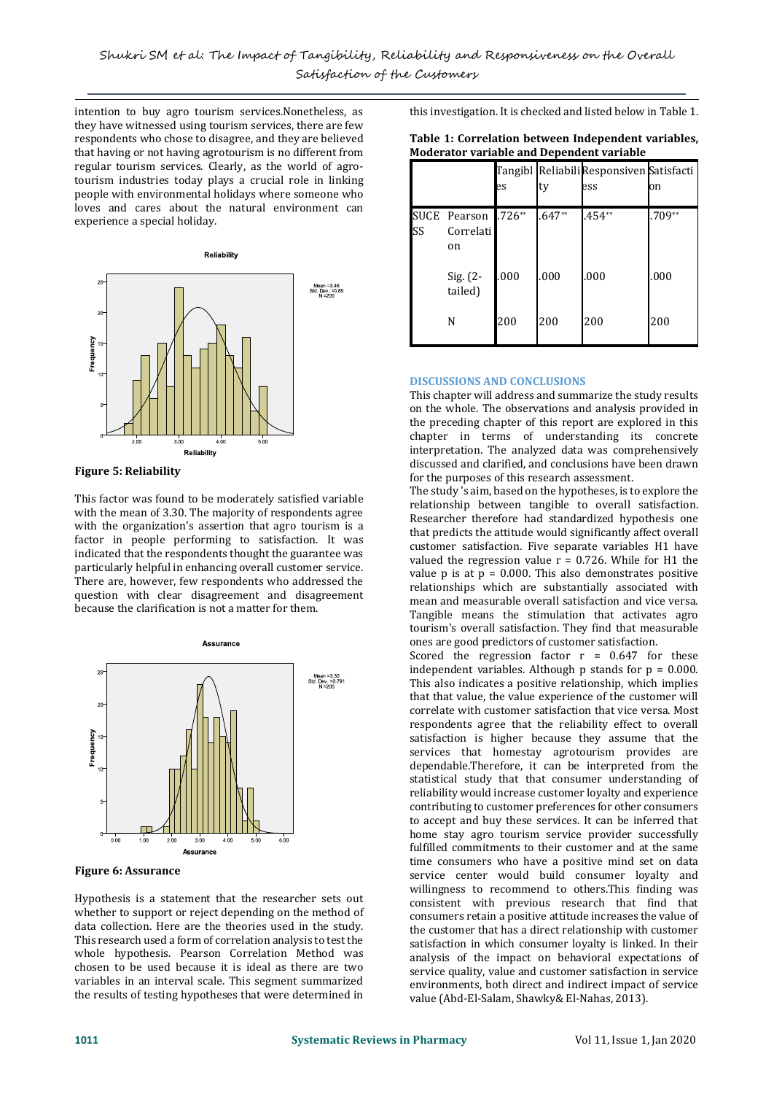intention to buy agro tourism services.Nonetheless, as they have witnessed using tourism services, there are few respondents who chose to disagree, and they are believed that having or not having agrotourism is no different from regular tourism services. Clearly, as the world of agrotourism industries today plays a crucial role in linking people with environmental holidays where someone who loves and cares about the natural environment can experience a special holiday.



# **Figure 5: Reliability**

This factor was found to be moderately satisfied variable with the mean of 3.30. The majority of respondents agree with the organization's assertion that agro tourism is a factor in people performing to satisfaction. It was indicated that the respondents thought the guarantee was particularly helpful in enhancing overall customer service. There are, however, few respondents who addressed the question with clear disagreement and disagreement because the clarification is not a matter for them.



**Figure 6: Assurance** 

Hypothesis is a statement that the researcher sets out whether to support or reject depending on the method of data collection. Here are the theories used in the study. This research used a form of correlation analysis to test the whole hypothesis. Pearson Correlation Method was chosen to be used because it is ideal as there are two variables in an interval scale. This segment summarized the results of testing hypotheses that were determined in

this investigation. It is checked and listed below in Table 1.

| Table 1: Correlation between Independent variables, |
|-----------------------------------------------------|
| <b>Moderator variable and Dependent variable</b>    |

|    |                                 | es       | ty       | Tangibl Reliabili Responsiven Satisfacti<br>ess | on       |
|----|---------------------------------|----------|----------|-------------------------------------------------|----------|
| SS | SUCE Pearson<br>Correlati<br>on | $.726**$ | $.647**$ | $.454**$                                        | $.709**$ |
|    | Sig. (2-<br>tailed)             | .000     | .000     | .000                                            | .000     |
|    | N                               | 200      | 200      | 200                                             | 200      |

# **DISCUSSIONS AND CONCLUSIONS**

This chapter will address and summarize the study results on the whole. The observations and analysis provided in the preceding chapter of this report are explored in this chapter in terms of understanding its concrete interpretation. The analyzed data was comprehensively discussed and clarified, and conclusions have been drawn for the purposes of this research assessment.

The study 's aim, based on the hypotheses, is to explore the relationship between tangible to overall satisfaction. Researcher therefore had standardized hypothesis one that predicts the attitude would significantly affect overall customer satisfaction. Five separate variables H1 have valued the regression value  $r = 0.726$ . While for H1 the value  $p$  is at  $p = 0.000$ . This also demonstrates positive relationships which are substantially associated with mean and measurable overall satisfaction and vice versa. Tangible means the stimulation that activates agro tourism's overall satisfaction. They find that measurable ones are good predictors of customer satisfaction.

Scored the regression factor  $r = 0.647$  for these independent variables. Although  $p$  stands for  $p = 0.000$ . This also indicates a positive relationship, which implies that that value, the value experience of the customer will correlate with customer satisfaction that vice versa. Most respondents agree that the reliability effect to overall satisfaction is higher because they assume that the services that homestay agrotourism provides are dependable.Therefore, it can be interpreted from the statistical study that that consumer understanding of reliability would increase customer loyalty and experience contributing to customer preferences for other consumers to accept and buy these services. It can be inferred that home stay agro tourism service provider successfully fulfilled commitments to their customer and at the same time consumers who have a positive mind set on data service center would build consumer loyalty and willingness to recommend to others.This finding was consistent with previous research that find that consumers retain a positive attitude increases the value of the customer that has a direct relationship with customer satisfaction in which consumer loyalty is linked. In their analysis of the impact on behavioral expectations of service quality, value and customer satisfaction in service environments, both direct and indirect impact of service value (Abd-El-Salam, Shawky& El-Nahas, 2013).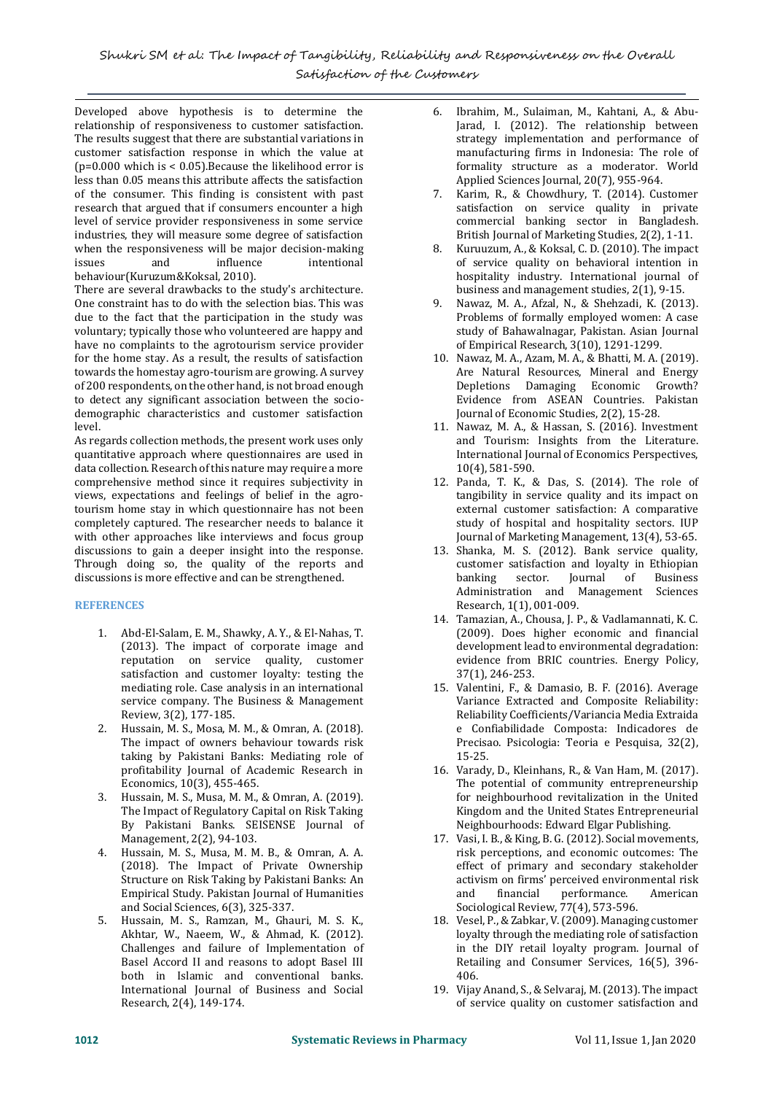Developed above hypothesis is to determine the relationship of responsiveness to customer satisfaction. The results suggest that there are substantial variations in customer satisfaction response in which the value at  $(p=0.000$  which is < 0.05). Because the likelihood error is less than 0.05 means this attribute affects the satisfaction of the consumer. This finding is consistent with past research that argued that if consumers encounter a high level of service provider responsiveness in some service industries, they will measure some degree of satisfaction when the responsiveness will be major decision-making issues and influence intentional behaviour(Kuruzum&Koksal, 2010).

There are several drawbacks to the study's architecture. One constraint has to do with the selection bias. This was due to the fact that the participation in the study was voluntary; typically those who volunteered are happy and have no complaints to the agrotourism service provider for the home stay. As a result, the results of satisfaction towards the homestay agro-tourism are growing. A survey of 200 respondents, on the other hand, is not broad enough to detect any significant association between the sociodemographic characteristics and customer satisfaction level.

As regards collection methods, the present work uses only quantitative approach where questionnaires are used in data collection. Research of this nature may require a more comprehensive method since it requires subjectivity in views, expectations and feelings of belief in the agrotourism home stay in which questionnaire has not been completely captured. The researcher needs to balance it with other approaches like interviews and focus group discussions to gain a deeper insight into the response. Through doing so, the quality of the reports and discussions is more effective and can be strengthened.

# **REFERENCES**

- 1. Abd-El-Salam, E. M., Shawky, A. Y., & El-Nahas, T. (2013). The impact of corporate image and reputation on service quality, customer satisfaction and customer loyalty: testing the mediating role. Case analysis in an international service company. The Business & Management Review, 3(2), 177-185.
- 2. Hussain, M. S., Mosa, M. M., & Omran, A. (2018). The impact of owners behaviour towards risk taking by Pakistani Banks: Mediating role of profitability Journal of Academic Research in Economics, 10(3), 455-465.
- 3. Hussain, M. S., Musa, M. M., & Omran, A. (2019). The Impact of Regulatory Capital on Risk Taking By Pakistani Banks. SEISENSE Journal of Management, 2(2), 94-103.
- 4. Hussain, M. S., Musa, M. M. B., & Omran, A. A. (2018). The Impact of Private Ownership Structure on Risk Taking by Pakistani Banks: An Empirical Study. Pakistan Journal of Humanities and Social Sciences, 6(3), 325-337.
- 5. Hussain, M. S., Ramzan, M., Ghauri, M. S. K., Akhtar, W., Naeem, W., & Ahmad, K. (2012). Challenges and failure of Implementation of Basel Accord II and reasons to adopt Basel III both in Islamic and conventional banks. International Journal of Business and Social Research, 2(4), 149-174.
- 6. Ibrahim, M., Sulaiman, M., Kahtani, A., & Abu-Jarad, I. (2012). The relationship between strategy implementation and performance of manufacturing firms in Indonesia: The role of formality structure as a moderator. World Applied Sciences Journal, 20(7), 955-964.
- 7. Karim, R., & Chowdhury, T. (2014). Customer satisfaction on service quality in private commercial banking sector in Bangladesh. British Journal of Marketing Studies, 2(2), 1-11.
- 8. Kuruuzum, A., & Koksal, C. D. (2010). The impact of service quality on behavioral intention in hospitality industry. International journal of business and management studies, 2(1), 9-15.
- 9. Nawaz, M. A., Afzal, N., & Shehzadi, K. (2013). Problems of formally employed women: A case study of Bahawalnagar, Pakistan. Asian Journal of Empirical Research, 3(10), 1291-1299.
- 10. Nawaz, M. A., Azam, M. A., & Bhatti, M. A. (2019). Are Natural Resources, Mineral and Energy Depletions Damaging Economic Growth? Evidence from ASEAN Countries. Pakistan Journal of Economic Studies, 2(2), 15-28.
- 11. Nawaz, M. A., & Hassan, S. (2016). Investment and Tourism: Insights from the Literature. International Journal of Economics Perspectives, 10(4), 581-590.
- 12. Panda, T. K., & Das, S. (2014). The role of tangibility in service quality and its impact on external customer satisfaction: A comparative study of hospital and hospitality sectors. IUP Journal of Marketing Management, 13(4), 53-65.
- 13. Shanka, M. S. (2012). Bank service quality, customer satisfaction and loyalty in Ethiopian banking sector. Journal of Business Administration and Management Sciences Research, 1(1), 001-009.
- 14. Tamazian, A., Chousa, J. P., & Vadlamannati, K. C. (2009). Does higher economic and financial development lead to environmental degradation: evidence from BRIC countries. Energy Policy, 37(1), 246-253.
- 15. Valentini, F., & Damasio, B. F. (2016). Average Variance Extracted and Composite Reliability: Reliability Coefficients/Variancia Media Extraida e Confiabilidade Composta: Indicadores de Precisao. Psicologia: Teoria e Pesquisa, 32(2), 15-25.
- 16. Varady, D., Kleinhans, R., & Van Ham, M. (2017). The potential of community entrepreneurship for neighbourhood revitalization in the United Kingdom and the United States Entrepreneurial Neighbourhoods: Edward Elgar Publishing.
- 17. Vasi, I. B., & King, B. G. (2012). Social movements, risk perceptions, and economic outcomes: The effect of primary and secondary stakeholder activism on firms' perceived environmental risk and financial performance. American Sociological Review, 77(4), 573-596.
- 18. Vesel, P., & Zabkar, V. (2009). Managing customer loyalty through the mediating role of satisfaction in the DIY retail loyalty program. Journal of Retailing and Consumer Services, 16(5), 396- 406.
- 19. Vijay Anand, S., & Selvaraj, M. (2013). The impact of service quality on customer satisfaction and